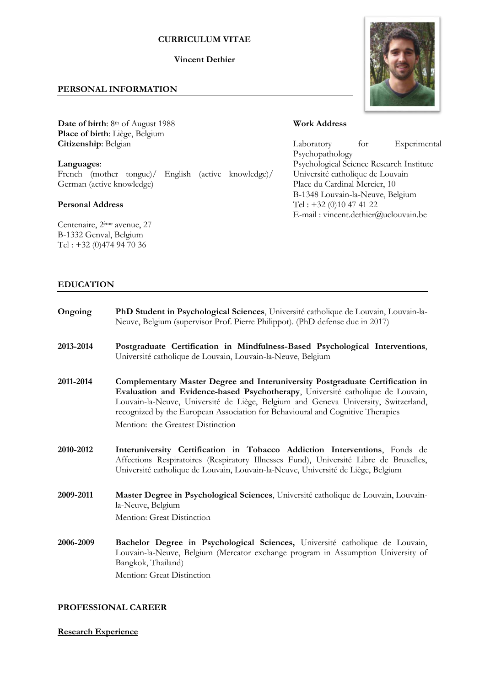## **CURRICULUM VITAE**

## **Vincent Dethier**

# **PERSONAL INFORMATION**

Date of birth: 8<sup>th</sup> of August 1988 **Place of birth**: Liège, Belgium **Citizenship**: Belgian

**Languages**: French (mother tongue)/ English (active knowledge)/ German (active knowledge)

## **Personal Address**

Centenaire, 2ème avenue, 27 B-1332 Genval, Belgium Tel : +32 (0)474 94 70 36



# **Work Address**

Laboratory for Experimental Psychopathology Psychological Science Research Institute Université catholique de Louvain Place du Cardinal Mercier, 10 B-1348 Louvain-la-Neuve, Belgium Tel : +32 (0)10 47 41 22 E-mail : vincent.dethier@uclouvain.be

# **EDUCATION**

| Ongoing   | PhD Student in Psychological Sciences, Université catholique de Louvain, Louvain-la-<br>Neuve, Belgium (supervisor Prof. Pierre Philippot). (PhD defense due in 2017)                                                                                                                                                                                                        |
|-----------|------------------------------------------------------------------------------------------------------------------------------------------------------------------------------------------------------------------------------------------------------------------------------------------------------------------------------------------------------------------------------|
| 2013-2014 | Postgraduate Certification in Mindfulness-Based Psychological Interventions,<br>Université catholique de Louvain, Louvain-la-Neuve, Belgium                                                                                                                                                                                                                                  |
| 2011-2014 | Complementary Master Degree and Interuniversity Postgraduate Certification in<br>Evaluation and Evidence-based Psychotherapy, Université catholique de Louvain,<br>Louvain-la-Neuve, Université de Liège, Belgium and Geneva University, Switzerland,<br>recognized by the European Association for Behavioural and Cognitive Therapies<br>Mention: the Greatest Distinction |
| 2010-2012 | Interuniversity Certification in Tobacco Addiction Interventions, Fonds de<br>Affections Respiratoires (Respiratory Illnesses Fund), Université Libre de Bruxelles,<br>Université catholique de Louvain, Louvain-la-Neuve, Université de Liège, Belgium                                                                                                                      |
| 2009-2011 | Master Degree in Psychological Sciences, Université catholique de Louvain, Louvain-<br>la-Neuve, Belgium<br>Mention: Great Distinction                                                                                                                                                                                                                                       |
| 2006-2009 | Bachelor Degree in Psychological Sciences, Université catholique de Louvain,<br>Louvain-la-Neuve, Belgium (Mercator exchange program in Assumption University of<br>Bangkok, Thailand)<br>Mention: Great Distinction                                                                                                                                                         |

## **PROFESSIONAL CAREER**

**Research Experience**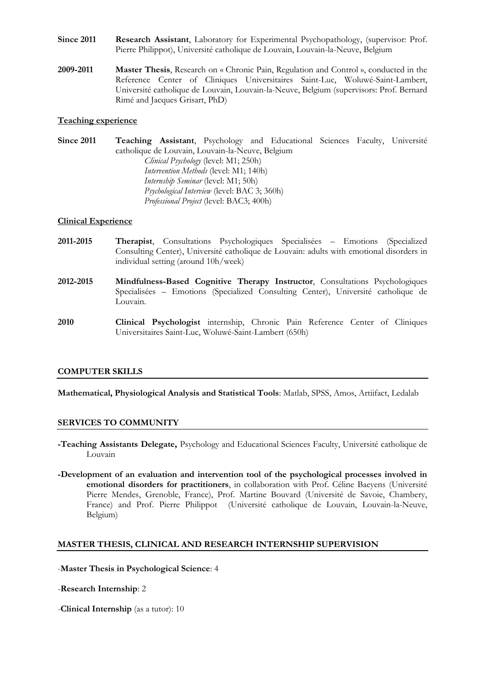- **Since 2011 Research Assistant**, Laboratory for Experimental Psychopathology, (supervisor: Prof. Pierre Philippot), Université catholique de Louvain, Louvain-la-Neuve, Belgium
- **2009-2011 Master Thesis**, Research on « Chronic Pain, Regulation and Control », conducted in the Reference Center of Cliniques Universitaires Saint-Luc, Woluwé-Saint-Lambert, Université catholique de Louvain, Louvain-la-Neuve, Belgium (supervisors: Prof. Bernard Rimé and Jacques Grisart, PhD)

### **Teaching experience**

**Since 2011 Teaching Assistant**, Psychology and Educational Sciences Faculty, Université catholique de Louvain, Louvain-la-Neuve, Belgium *Clinical Psychology* (level: M1; 250h) *Intervention Methods* (level: M1; 140h) *Internship Seminar* (level: M1; 50h) *Psychological Interview* (level: BAC 3; 360h) *Professional Project* (level: BAC3; 400h)

#### **Clinical Experience**

- **2011-2015 Therapist**, Consultations Psychologiques Specialisées Emotions (Specialized Consulting Center), Université catholique de Louvain: adults with emotional disorders in individual setting (around 10h/week)
- **2012-2015 Mindfulness-Based Cognitive Therapy Instructor**, Consultations Psychologiques Specialisées – Emotions (Specialized Consulting Center), Université catholique de Louvain.
- **2010 Clinical Psychologist** internship, Chronic Pain Reference Center of Cliniques Universitaires Saint-Luc, Woluwé-Saint-Lambert (650h)

### **COMPUTER SKILLS**

**Mathematical, Physiological Analysis and Statistical Tools**: Matlab, SPSS, Amos, Artiifact, Ledalab

## **SERVICES TO COMMUNITY**

- **-Teaching Assistants Delegate,** Psychology and Educational Sciences Faculty, Université catholique de Louvain
- **-Development of an evaluation and intervention tool of the psychological processes involved in emotional disorders for practitioners**, in collaboration with Prof. Céline Baeyens (Université Pierre Mendes, Grenoble, France), Prof. Martine Bouvard (Université de Savoie, Chambery, France) and Prof. Pierre Philippot (Université catholique de Louvain, Louvain-la-Neuve, Belgium)

## **MASTER THESIS, CLINICAL AND RESEARCH INTERNSHIP SUPERVISION**

-**Master Thesis in Psychological Science**: 4

- -**Research Internship**: 2
- -**Clinical Internship** (as a tutor): 10